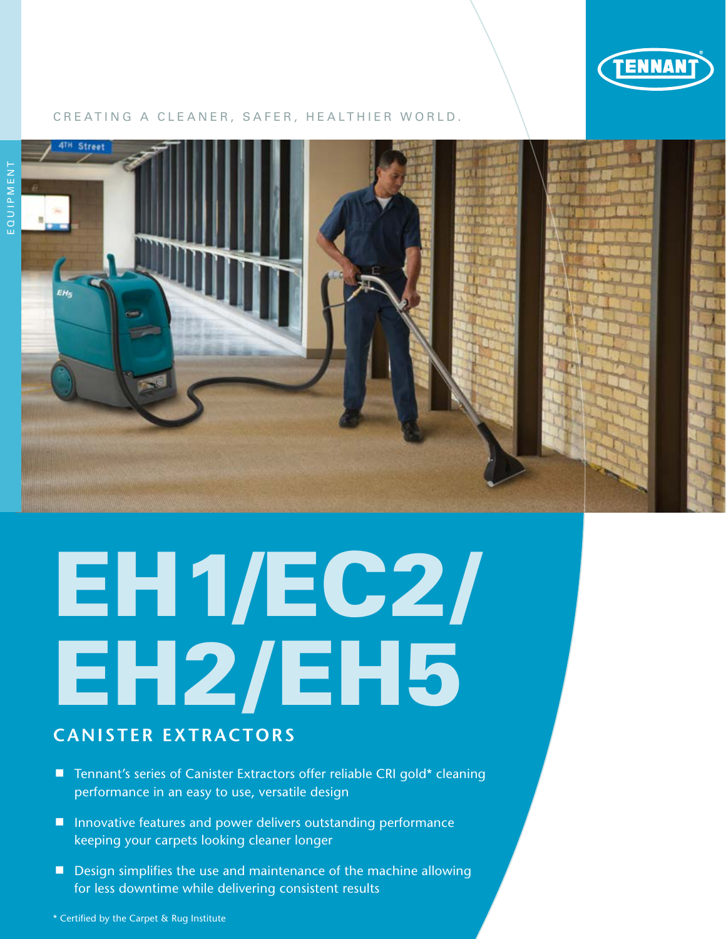

## CREATING A CLEANER, SAFER, HEALTHIER WORLD.



## EH1/EC2/ EH2/EH5

## **Canister Extractors**

- Tennant's series of Canister Extractors offer reliable CRI gold\* cleaning performance in an easy to use, versatile design
- **I** Innovative features and power delivers outstanding performance keeping your carpets looking cleaner longer
- Design simplifies the use and maintenance of the machine allowing for less downtime while delivering consistent results

\* Certified by the Carpet & Rug Institute